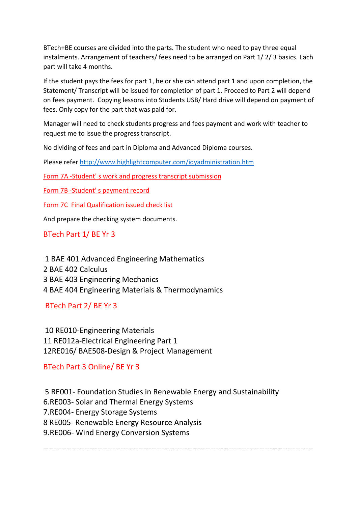BTech+BE courses are divided into the parts. The student who need to pay three equal instalments. Arrangement of teachers/ fees need to be arranged on Part 1/ 2/ 3 basics. Each part will take 4 months.

If the student pays the fees for part 1, he or she can attend part 1 and upon completion, the Statement/ Transcript will be issued for completion of part 1. Proceed to Part 2 will depend on fees payment. Copying lessons into Students USB/ Hard drive will depend on payment of fees. Only copy for the part that was paid for.

Manager will need to check students progress and fees payment and work with teacher to request me to issue the progress transcript.

No dividing of fees and part in Diploma and Advanced Diploma courses.

Please refe[r http://www.highlightcomputer.com/iqyadministration.htm](http://www.highlightcomputer.com/iqyadministration.htm)

Form 7A -Student' s work and progress transcript submission

Form 7B -Student' s payment record

Form 7C Final Qualification issued check list

And prepare the checking system documents.

BTech Part 1/ BE Yr 3

1 BAE 401 Advanced Engineering Mathematics 2 BAE 402 Calculus 3 BAE 403 Engineering Mechanics 4 BAE 404 Engineering Materials & Thermodynamics

BTech Part 2/ BE Yr 3

10 RE010-Engineering Materials 11 RE012a-Electrical Engineering Part 1 12RE016/ BAE508-Design & Project Management

BTech Part 3 Online/ BE Yr 3

5 RE001- Foundation Studies in Renewable Energy and Sustainability

6.RE003- Solar and Thermal Energy Systems

7.RE004- Energy Storage Systems

8 RE005- Renewable Energy Resource Analysis

9.RE006- Wind Energy Conversion Systems

---------------------------------------------------------------------------------------------------------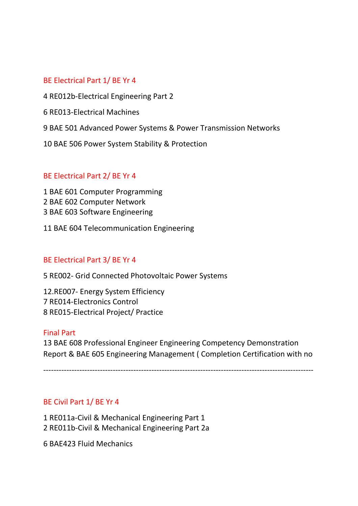# BE Electrical Part 1/ BE Yr 4

4 RE012b-Electrical Engineering Part 2

- 6 RE013-Electrical Machines
- 9 BAE 501 Advanced Power Systems & Power Transmission Networks
- 10 BAE 506 Power System Stability & Protection

## BE Electrical Part 2/ BE Yr 4

1 BAE 601 Computer Programming 2 BAE 602 Computer Network 3 BAE 603 Software Engineering

11 BAE 604 Telecommunication Engineering

## BE Electrical Part 3/ BE Yr 4

5 RE002- Grid Connected Photovoltaic Power Systems

12.RE007- Energy System Efficiency 7 RE014-Electronics Control 8 RE015-Electrical Project/ Practice

#### Final Part

13 BAE 608 Professional Engineer Engineering Competency Demonstration Report & BAE 605 Engineering Management ( Completion Certification with no

---------------------------------------------------------------------------------------------------------

## BE Civil Part 1/ BE Yr 4

1 RE011a-Civil & Mechanical Engineering Part 1 2 RE011b-Civil & Mechanical Engineering Part 2a

6 BAE423 Fluid Mechanics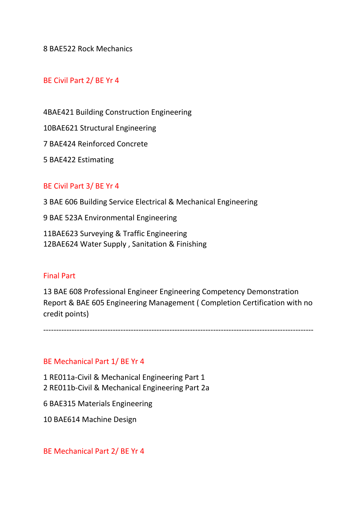8 BAE522 Rock Mechanics

## BE Civil Part 2/ BE Yr 4

4BAE421 Building Construction Engineering

10BAE621 Structural Engineering

7 BAE424 Reinforced Concrete

5 BAE422 Estimating

## BE Civil Part 3/ BE Yr 4

3 BAE 606 Building Service Electrical & Mechanical Engineering

9 BAE 523A Environmental Engineering

11BAE623 Surveying & Traffic Engineering 12BAE624 Water Supply , Sanitation & Finishing

## Final Part

13 BAE 608 Professional Engineer Engineering Competency Demonstration Report & BAE 605 Engineering Management ( Completion Certification with no credit points)

---------------------------------------------------------------------------------------------------------

#### BE Mechanical Part 1/ BE Yr 4

1 RE011a-Civil & Mechanical Engineering Part 1 2 RE011b-Civil & Mechanical Engineering Part 2a

6 BAE315 Materials Engineering

10 BAE614 Machine Design

BE Mechanical Part 2/ BE Yr 4